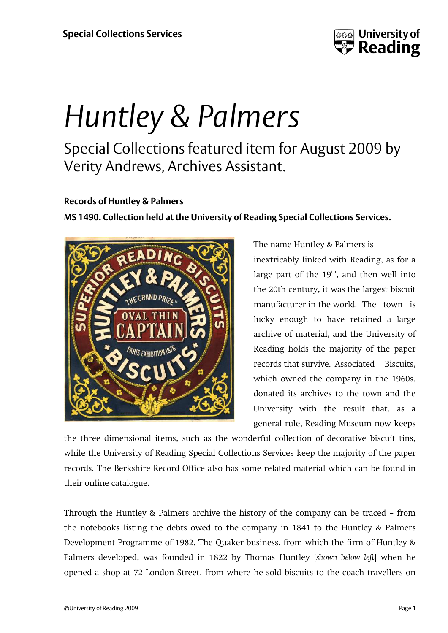

## *Huntley & Palmers*

Special Collections featured item for August 2009 by Verity Andrews, Archives Assistant.

## **Records of Huntley & Palmers**

**MS 1490. Collection held at the University of Reading Special Collections Services.**



The name Huntley & Palmers is inextricably linked with Reading, as for a large part of the  $19<sup>th</sup>$ , and then well into the 20th century, it was the largest biscuit manufacturer in the world. The town is lucky enough to have retained a large archive of material, and the University of Reading holds the majority of the paper records that survive. Associated Biscuits, which owned the company in the 1960s, donated its archives to the town and the University with the result that, as a general rule, Reading Museum now keeps

the three dimensional items, such as the wonderful collection of decorative biscuit tins, while the University of Reading Special Collections Services keep the majority of the paper records. The Berkshire Record Office also has some related material which can be found in their online catalogue.

Through the Huntley & Palmers archive the history of the company can be traced – from the notebooks listing the debts owed to the company in 1841 to the Huntley & Palmers Development Programme of 1982. The Quaker business, from which the firm of Huntley & Palmers developed, was founded in 1822 by Thomas Huntley [*shown below left*] when he opened a shop at 72 London Street, from where he sold biscuits to the coach travellers on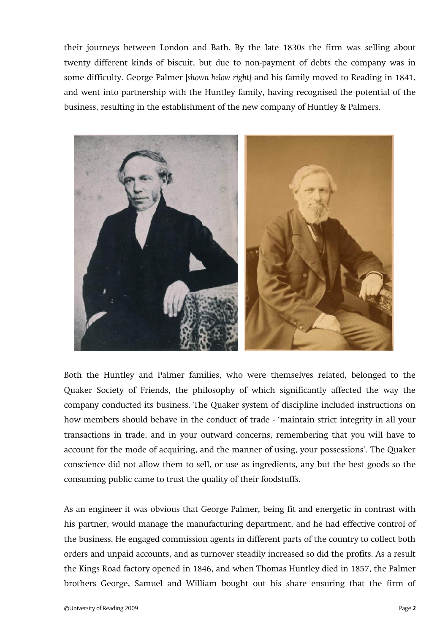their journeys between London and Bath. By the late 1830s the firm was selling about twenty different kinds of biscuit, but due to non-payment of debts the company was in some difficulty. George Palmer [*shown below right]* and his family moved to Reading in 1841, and went into partnership with the Huntley family, having recognised the potential of the business, resulting in the establishment of the new company of Huntley & Palmers.



Both the Huntley and Palmer families, who were themselves related, belonged to the Quaker Society of Friends, the philosophy of which significantly affected the way the company conducted its business. The Quaker system of discipline included instructions on how members should behave in the conduct of trade - 'maintain strict integrity in all your transactions in trade, and in your outward concerns, remembering that you will have to account for the mode of acquiring, and the manner of using, your possessions'. The Quaker conscience did not allow them to sell, or use as ingredients, any but the best goods so the consuming public came to trust the quality of their foodstuffs.

As an engineer it was obvious that George Palmer, being fit and energetic in contrast with his partner, would manage the manufacturing department, and he had effective control of the business. He engaged commission agents in different parts of the country to collect both orders and unpaid accounts, and as turnover steadily increased so did the profits. As a result the Kings Road factory opened in 1846, and when Thomas Huntley died in 1857, the Palmer brothers George, Samuel and William bought out his share ensuring that the firm of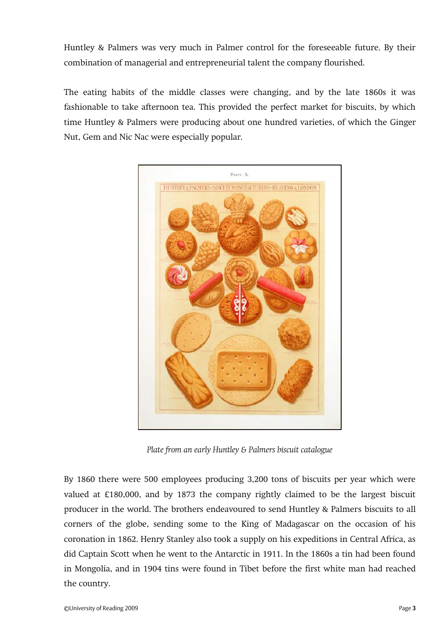Huntley & Palmers was very much in Palmer control for the foreseeable future. By their combination of managerial and entrepreneurial talent the company flourished.

The eating habits of the middle classes were changing, and by the late 1860s it was fashionable to take afternoon tea. This provided the perfect market for biscuits, by which time Huntley & Palmers were producing about one hundred varieties, of which the Ginger Nut, Gem and Nic Nac were especially popular.



*Plate from an early Huntley & Palmers biscuit catalogue*

By 1860 there were 500 employees producing 3,200 tons of biscuits per year which were valued at £180,000, and by 1873 the company rightly claimed to be the largest biscuit producer in the world. The brothers endeavoured to send Huntley & Palmers biscuits to all corners of the globe, sending some to the King of Madagascar on the occasion of his coronation in 1862. Henry Stanley also took a supply on his expeditions in Central Africa, as did Captain Scott when he went to the Antarctic in 1911. In the 1860s a tin had been found in Mongolia, and in 1904 tins were found in Tibet before the first white man had reached the country.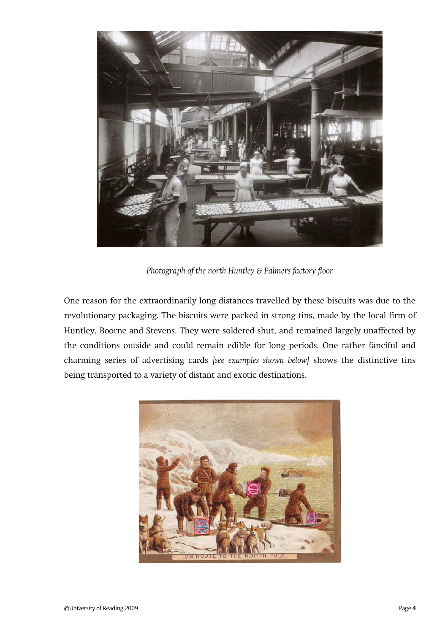

*Photograph of the north Huntley & Palmers factory floor*

One reason for the extraordinarily long distances travelled by these biscuits was due to the revolutionary packaging. The biscuits were packed in strong tins, made by the local firm of Huntley, Boorne and Stevens. They were soldered shut, and remained largely unaffected by the conditions outside and could remain edible for long periods. One rather fanciful and charming series of advertising cards *[see examples shown below]* shows the distinctive tins being transported to a variety of distant and exotic destinations.

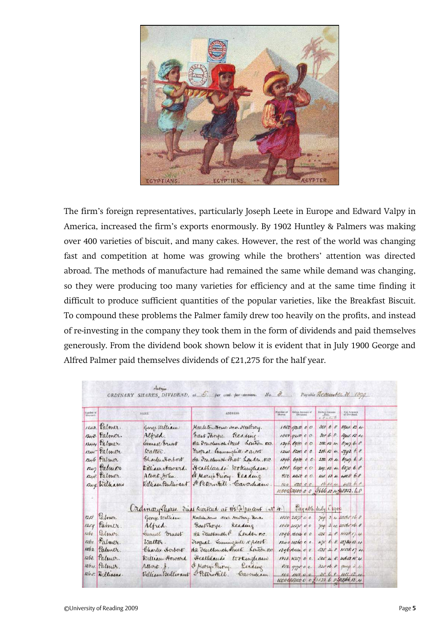

The firm's foreign representatives, particularly Joseph Leete in Europe and Edward Valpy in America, increased the firm's exports enormously. By 1902 Huntley & Palmers was making over 400 varieties of biscuit, and many cakes. However, the rest of the world was changing fast and competition at home was growing while the brothers' attention was directed abroad. The methods of manufacture had remained the same while demand was changing, so they were producing too many varieties for efficiency and at the same time finding it difficult to produce sufficient quantities of the popular varieties, like the Breakfast Biscuit. To compound these problems the Palmer family drew too heavily on the profits, and instead of re-investing in the company they took them in the form of dividends and paid themselves generously. From the dividend book shown below it is evident that in July 1900 George and Alfred Palmer paid themselves dividends of £21,275 for the half year.

|                       |                |                   | ORDINARY SHARES DIVIDEND, at $\overline{O}$ , per cent. per-annum, No. $\partial$ . |                      |                     |                           | Payable December 31 1899             |
|-----------------------|----------------|-------------------|-------------------------------------------------------------------------------------|----------------------|---------------------|---------------------------|--------------------------------------|
| Number of<br>Warrant. | NAME.          |                   | ADDRESS.                                                                            | Number of<br>Shares, | Gross Annunt of     | Debrit Iscosu<br>a Farmer | Net Amount                           |
|                       | 1242 Palmer.   | George William    | Marleton House seen Neutrory.                                                       |                      | 1850, 92.000        |                           | 308688941.134                        |
|                       | $1248$ Palmer. | Alfred.           | hast Thomas Rexame                                                                  |                      | 1850, 9250, 0.0     |                           | 300 6.8. 8041.13 4.                  |
|                       | 1244 Palmer    | Samuel brust      | 162 Fendlunch Street Loudon EQ.                                                     |                      | 1396.698000         |                           | 222134 674768                        |
|                       | 1240 Palmer    | traller.          | Frognal. Semminglule + agent                                                        |                      | $1240$ $6200$ 0 0.  |                           | 206.13 4. 5993. 6.8.                 |
|                       | $1246$ Palmer  | Charles Herbert   | the Teachman that London. E.C.                                                      |                      | 1896.698000         |                           | $232$ 13 4. 6747. 6. 8.              |
|                       | 1247 Palmor    | Tilliau Anvard.   | Heathlands. Workingham                                                              |                      |                     |                           | $1918$ 6xge 0 0 219. 13 4. 6370 6. 8 |
|                       | 1248. Talmer.  | Albert John.      | W Mary's Proong. Reading                                                            |                      |                     |                           | 850 4250 00. 141. 13 4 4108 68       |
|                       | 1249. Williams | William Bullwaut  | reternatill. Cavardiano                                                             |                      |                     |                           | 100 500 00. 16.13.4. 483.68.         |
|                       |                |                   |                                                                                     |                      |                     |                           | 100001000000 0 1666.13448,333.68     |
|                       |                |                   | Ordinary There. Final Divitend at 112 percent (N 4.) Fayable Suly 1 1900            |                      |                     |                           |                                      |
|                       | 1258 Talmer    | George William    | Marletowhome Near Newthing Benks                                                    |                      | 1850 2127500        |                           | 709 3 4 2016 16 8                    |
|                       | 125g Palmer    |                   | Alfred. CastThorpe. Reading.                                                        |                      | $1850$ 2127 00      |                           | 709 3 4 2006 16 8                    |
|                       | 1260 Valmer    | Samuel Gruest     | 162 Twelwich of London mc                                                           |                      | $1396$ , there c c  |                           | 52528.457874                         |
|                       | 1261 Talmer.   | Walter.           | Trogual Tummquill & Ascot.                                                          |                      | 18401426000         |                           | 475 6 8. 13784 13.4                  |
|                       | 1262 Palmer.   | Charles Horbert   | 162 Jewelunch theet. Kouton F.C.                                                    |                      | 13961604000         |                           | $535 = 28$ KSTR17 4.                 |
|                       | 1263. Palmer.  | William Howard    | Heathlands tookingham                                                               |                      | $1818.$ $A757$ 0 0. |                           | $500 + 8.4602 + 4.$                  |
|                       | 1264 Palmer.   | Albert. J.        | It Mary Priory. Reading.                                                            |                      | 850.977000.         |                           | $321168$ a quig 2 4                  |
|                       | 1265 Williams  | William Bullivant | Peterstill. Caverdian.                                                              |                      |                     |                           |                                      |
|                       |                |                   |                                                                                     |                      |                     |                           | 100 1150 0 0 38 6 8 1111 13 4        |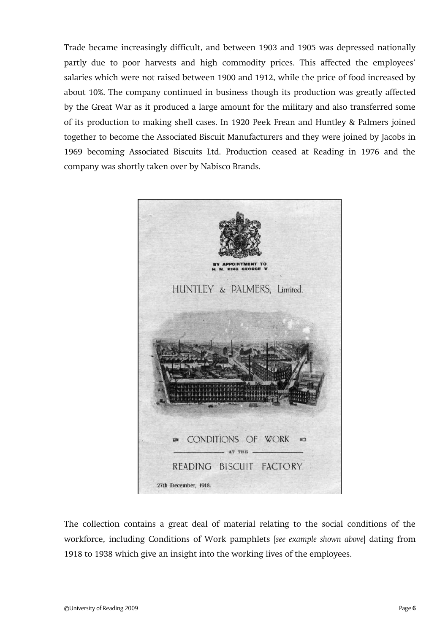Trade became increasingly difficult, and between 1903 and 1905 was depressed nationally partly due to poor harvests and high commodity prices. This affected the employees' salaries which were not raised between 1900 and 1912, while the price of food increased by about 10%. The company continued in business though its production was greatly affected by the Great War as it produced a large amount for the military and also transferred some of its production to making shell cases. In 1920 Peek Frean and Huntley & Palmers joined together to become the Associated Biscuit Manufacturers and they were joined by Jacobs in 1969 becoming Associated Biscuits Ltd. Production ceased at Reading in 1976 and the company was shortly taken over by Nabisco Brands.



The collection contains a great deal of material relating to the social conditions of the workforce, including Conditions of Work pamphlets [*see example shown above*] dating from 1918 to 1938 which give an insight into the working lives of the employees.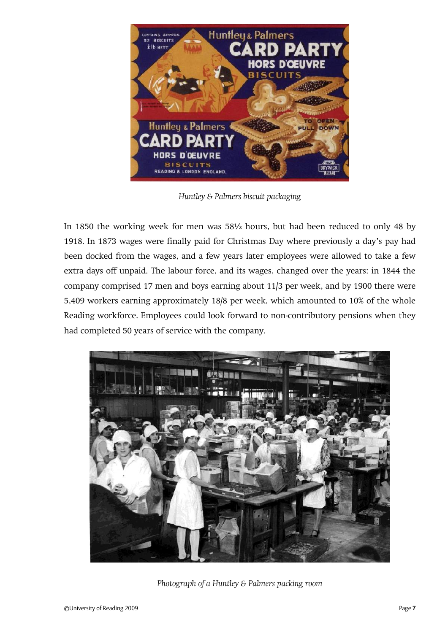

*Huntley & Palmers biscuit packaging*

In 1850 the working week for men was 58½ hours, but had been reduced to only 48 by 1918. In 1873 wages were finally paid for Christmas Day where previously a day's pay had been docked from the wages, and a few years later employees were allowed to take a few extra days off unpaid. The labour force, and its wages, changed over the years: in 1844 the company comprised 17 men and boys earning about 11/3 per week, and by 1900 there were 5,409 workers earning approximately 18/8 per week, which amounted to 10% of the whole Reading workforce. Employees could look forward to non-contributory pensions when they had completed 50 years of service with the company.



*Photograph of a Huntley & Palmers packing room*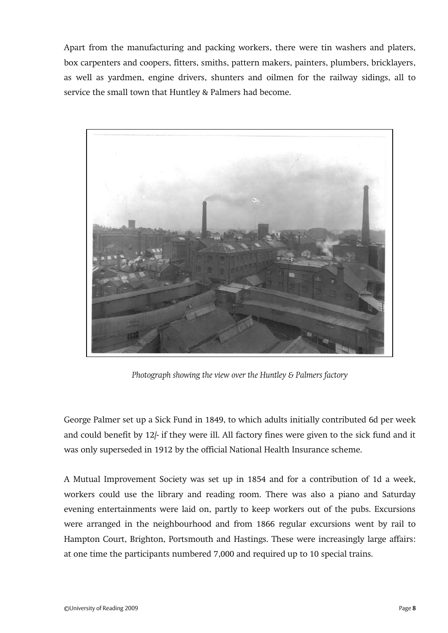Apart from the manufacturing and packing workers, there were tin washers and platers, box carpenters and coopers, fitters, smiths, pattern makers, painters, plumbers, bricklayers, as well as yardmen, engine drivers, shunters and oilmen for the railway sidings, all to service the small town that Huntley & Palmers had become.



*Photograph showing the view over the Huntley & Palmers factory*

George Palmer set up a Sick Fund in 1849, to which adults initially contributed 6d per week and could benefit by 12/- if they were ill. All factory fines were given to the sick fund and it was only superseded in 1912 by the official National Health Insurance scheme.

A Mutual Improvement Society was set up in 1854 and for a contribution of 1d a week, workers could use the library and reading room. There was also a piano and Saturday evening entertainments were laid on, partly to keep workers out of the pubs. Excursions were arranged in the neighbourhood and from 1866 regular excursions went by rail to Hampton Court, Brighton, Portsmouth and Hastings. These were increasingly large affairs: at one time the participants numbered 7,000 and required up to 10 special trains.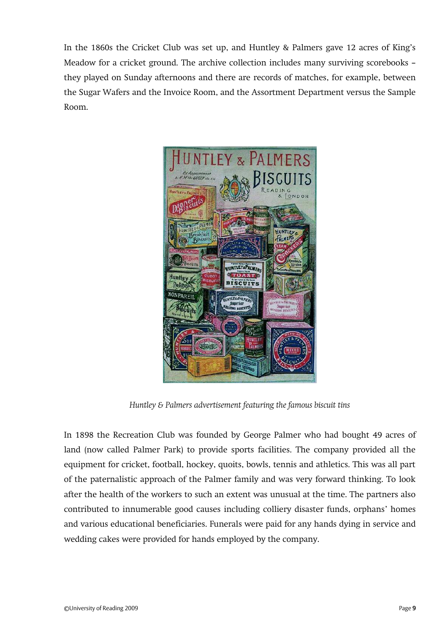In the 1860s the Cricket Club was set up, and Huntley & Palmers gave 12 acres of King's Meadow for a cricket ground. The archive collection includes many surviving scorebooks – they played on Sunday afternoons and there are records of matches, for example, between the Sugar Wafers and the Invoice Room, and the Assortment Department versus the Sample Room.



*Huntley & Palmers advertisement featuring the famous biscuit tins*

In 1898 the Recreation Club was founded by George Palmer who had bought 49 acres of land (now called Palmer Park) to provide sports facilities. The company provided all the equipment for cricket, football, hockey, quoits, bowls, tennis and athletics. This was all part of the paternalistic approach of the Palmer family and was very forward thinking. To look after the health of the workers to such an extent was unusual at the time. The partners also contributed to innumerable good causes including colliery disaster funds, orphans' homes and various educational beneficiaries. Funerals were paid for any hands dying in service and wedding cakes were provided for hands employed by the company.